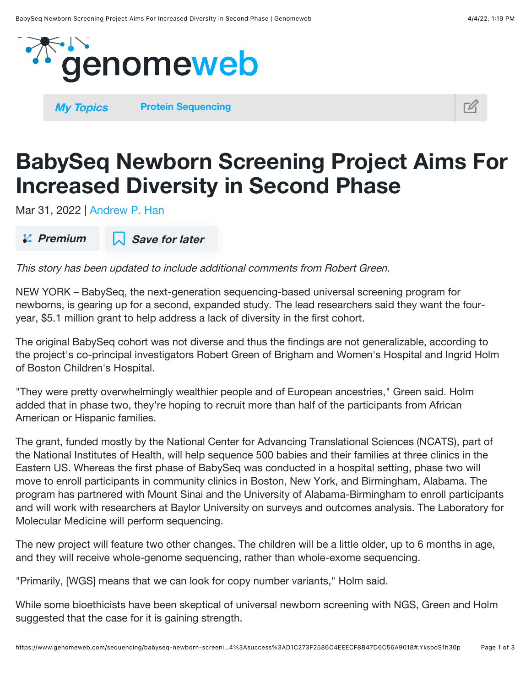

**[My Topics](https://www.genomeweb.com/my-topics) [Protein Sequencing](https://www.genomeweb.com/technology/protein-sequencing)** 



## BabySeq Newborn Screening Project Aims For Increased Diversity in Second Phase

Mar 31, 2022 | [Andrew P. Han](https://www.genomeweb.com/about-us/our-staff/andrew-p-han)

 $\mathcal{L}$  Premium  $\Box$  Save for later

This story has been updated to include additional comments from Robert Green.

NEW YORK – BabySeq, the next-generation sequencing-based universal screening program for newborns, is gearing up for a second, expanded study. The lead researchers said they want the fouryear, \$5.1 million grant to help address a lack of diversity in the first cohort.

The original BabySeq cohort was not diverse and thus the findings are not generalizable, according to the project's co-principal investigators Robert Green of Brigham and Women's Hospital and Ingrid Holm of Boston Children's Hospital.

"They were pretty overwhelmingly wealthier people and of European ancestries," Green said. Holm added that in phase two, they're hoping to recruit more than half of the participants from African American or Hispanic families.

The grant, funded mostly by the National Center for Advancing Translational Sciences (NCATS), part of the National Institutes of Health, will help sequence 500 babies and their families at three clinics in the Eastern US. Whereas the first phase of BabySeq was conducted in a hospital setting, phase two will move to enroll participants in community clinics in Boston, New York, and Birmingham, Alabama. The program has partnered with Mount Sinai and the University of Alabama-Birmingham to enroll participants and will work with researchers at Baylor University on surveys and outcomes analysis. The Laboratory for Molecular Medicine will perform sequencing.

The new project will feature two other changes. The children will be a little older, up to 6 months in age, and they will receive whole-genome sequencing, rather than whole-exome sequencing.

"Primarily, [WGS] means that we can look for copy number variants," Holm said.

While some bioethicists have been skeptical of universal newborn screening with NGS, Green and Holm suggested that the case for it is gaining strength.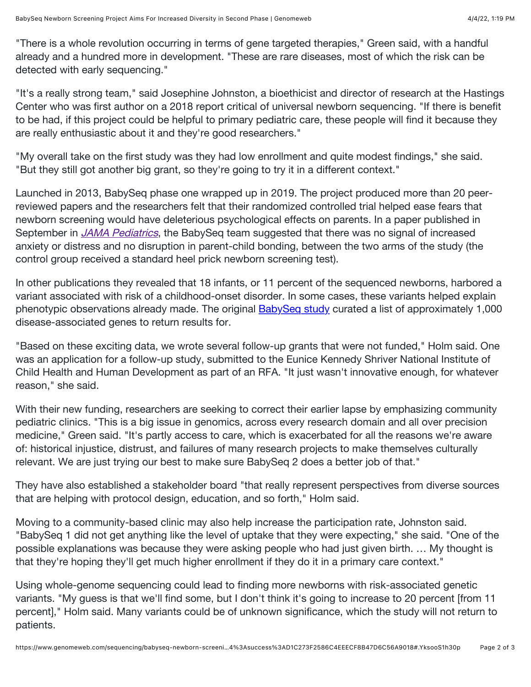"There is a whole revolution occurring in terms of gene targeted therapies," Green said, with a handful already and a hundred more in development. "These are rare diseases, most of which the risk can be detected with early sequencing."

"It's a really strong team," said Josephine Johnston, a bioethicist and director of research at the Hastings Center who was first author on a 2018 report critical of universal newborn sequencing. "If there is benefit to be had, if this project could be helpful to primary pediatric care, these people will find it because they are really enthusiastic about it and they're good researchers."

"My overall take on the first study was they had low enrollment and quite modest findings," she said. "But they still got another big grant, so they're going to try it in a different context."

Launched in 2013, BabySeq phase one wrapped up in 2019. The project produced more than 20 peerreviewed papers and the researchers felt that their randomized controlled trial helped ease fears that newborn screening would have deleterious psychological effects on parents. In a paper published in September in *[JAMA Pediatrics](https://pubmed.ncbi.nlm.nih.gov/34424265/)*, the BabySeq team suggested that there was no signal of increased anxiety or distress and no disruption in parent-child bonding, between the two arms of the study (the control group received a standard heel prick newborn screening test).

In other publications they revealed that 18 infants, or 11 percent of the sequenced newborns, harbored a variant associated with risk of a childhood-onset disorder. In some cases, these variants helped explain phenotypic observations already made. The original **BabySeq study** curated a list of approximately 1,000 disease-associated genes to return results for.

"Based on these exciting data, we wrote several follow-up grants that were not funded," Holm said. One was an application for a follow-up study, submitted to the Eunice Kennedy Shriver National Institute of Child Health and Human Development as part of an RFA. "It just wasn't innovative enough, for whatever reason," she said.

With their new funding, researchers are seeking to correct their earlier lapse by emphasizing community pediatric clinics. "This is a big issue in genomics, across every research domain and all over precision medicine," Green said. "It's partly access to care, which is exacerbated for all the reasons we're aware of: historical injustice, distrust, and failures of many research projects to make themselves culturally relevant. We are just trying our best to make sure BabySeq 2 does a better job of that."

They have also established a stakeholder board "that really represent perspectives from diverse sources that are helping with protocol design, education, and so forth," Holm said.

Moving to a community-based clinic may also help increase the participation rate, Johnston said. "BabySeq 1 did not get anything like the level of uptake that they were expecting," she said. "One of the possible explanations was because they were asking people who had just given birth. … My thought is that they're hoping they'll get much higher enrollment if they do it in a primary care context."

Using whole-genome sequencing could lead to finding more newborns with risk-associated genetic variants. "My guess is that we'll find some, but I don't think it's going to increase to 20 percent [from 11 percent]," Holm said. Many variants could be of unknown significance, which the study will not return to patients.